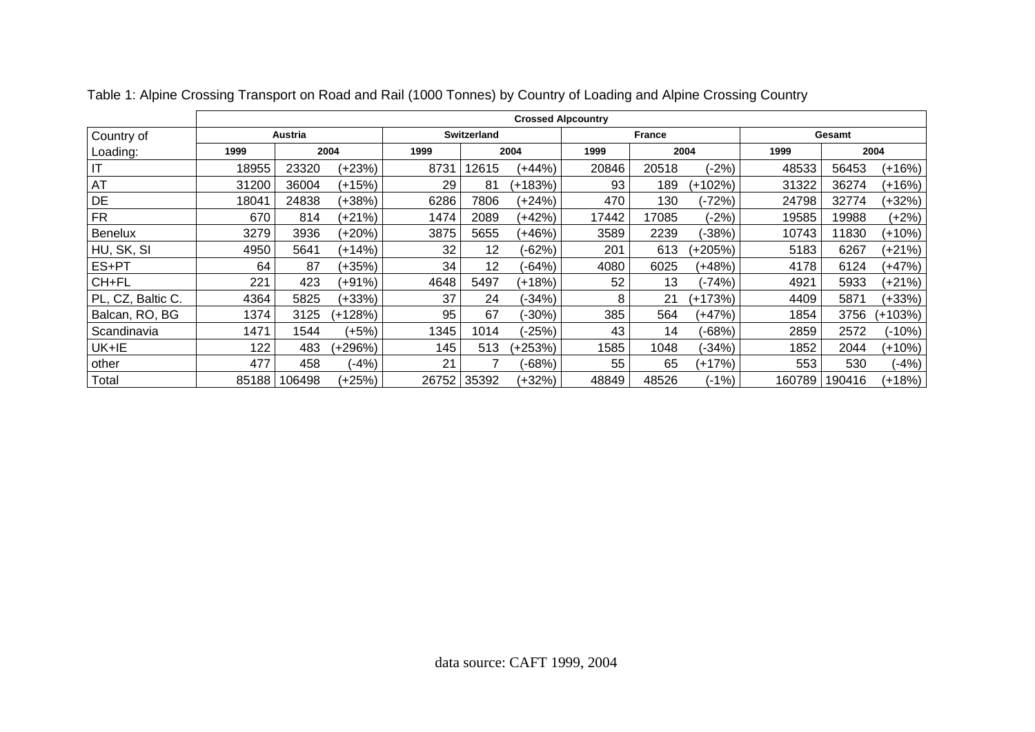|                        | <b>Crossed Alpcountry</b> |        |           |                    |             |           |               |       |           |        |        |           |
|------------------------|---------------------------|--------|-----------|--------------------|-------------|-----------|---------------|-------|-----------|--------|--------|-----------|
| Country of             | Austria                   |        |           | <b>Switzerland</b> |             |           | <b>France</b> |       |           | Gesamt |        |           |
| Loading:               | 1999                      | 2004   |           | 1999               | 2004        |           | 1999          | 2004  |           | 1999   | 2004   |           |
| $\mathsf{I}\mathsf{T}$ | 18955                     | 23320  | $(+23%)$  | 8731               | 12615       | (+44%)    | 20846         | 20518 | $(-2%)$   | 48533  | 56453  | $(+16%)$  |
| AT                     | 31200                     | 36004  | $(+15%)$  | 29                 | 81          | $(+183%)$ | 93            | 189   | (+102%)   | 31322  | 36274  | $(+16%)$  |
| DE                     | 18041                     | 24838  | (+38%)    | 6286               | 7806        | $(+24%)$  | 470           | 130   | $-72%$    | 24798  | 32774  | $(+32%)$  |
| ${\sf FR}$             | 670                       | 814    | $(+21%)$  | 1474               | 2089        | $(+42%)$  | 17442         | 17085 | $(-2%)$   | 19585  | 9988   | $(+2%)$   |
| Benelux                | 3279                      | 3936   | $(+20%)$  | 3875               | 5655        | $(+46%)$  | 3589          | 2239  | $-38%$    | 10743  | 11830  | $(+10%)$  |
| HU, SK, SI             | 4950                      | 5641   | (+14%)    | 32                 | 12          | $(-62%)$  | 201           | 613   | (+205%)   | 5183   | 6267   | $(+21%)$  |
| ES+PT                  | 64                        | 87     | $(+35%)$  | 34                 | 12          | $(-64%)$  | 4080          | 6025  | $(+48%)$  | 4178   | 6124   | $(+47%)$  |
| CH+FL                  | 221                       | 423    | (+91%)    | 4648               | 5497        | (+18%)    | 52            | 13    | (-74%)    | 4921   | 5933   | $(+21%)$  |
| PL, CZ, Baltic C.      | 4364                      | 5825   | $(+33%)$  | 37                 | 24          | $(-34%)$  | 8             | 21    | $(+173%)$ | 4409   | 5871   | $(+33%)$  |
| Balcan, RO, BG         | 1374                      | 3125   | $(+128%)$ | 95                 | 67          | $(-30%)$  | 385           | 564   | $(+47%)$  | 1854   | 3756   | $(+103%)$ |
| Scandinavia            | 1471                      | 1544   | $(+5%)$   | 1345               | 1014        | $-25%$    | 43            | 14    | $-68%$    | 2859   | 2572   | (-10%)    |
| UK+IE                  | 122                       | 483    | $(+296%)$ | 145                | 513         | $(+253%)$ | 1585          | 1048  | $(-34%)$  | 1852   | 2044   | $(+10%)$  |
| other                  | 477                       | 458    | $(-4%)$   | 21                 |             | $(-68%)$  | 55            | 65    | $(+17%)$  | 553    | 530    | $(-4%)$   |
| Total                  | 85188                     | 106498 | (+25%)    |                    | 26752 35392 | $(+32%)$  | 48849         | 48526 | $(-1%)$   | 160789 | 190416 | $(+18%)$  |

Table 1: Alpine Crossing Transport on Road and Rail (1000 Tonnes) by Country of Loading and Alpine Crossing Country